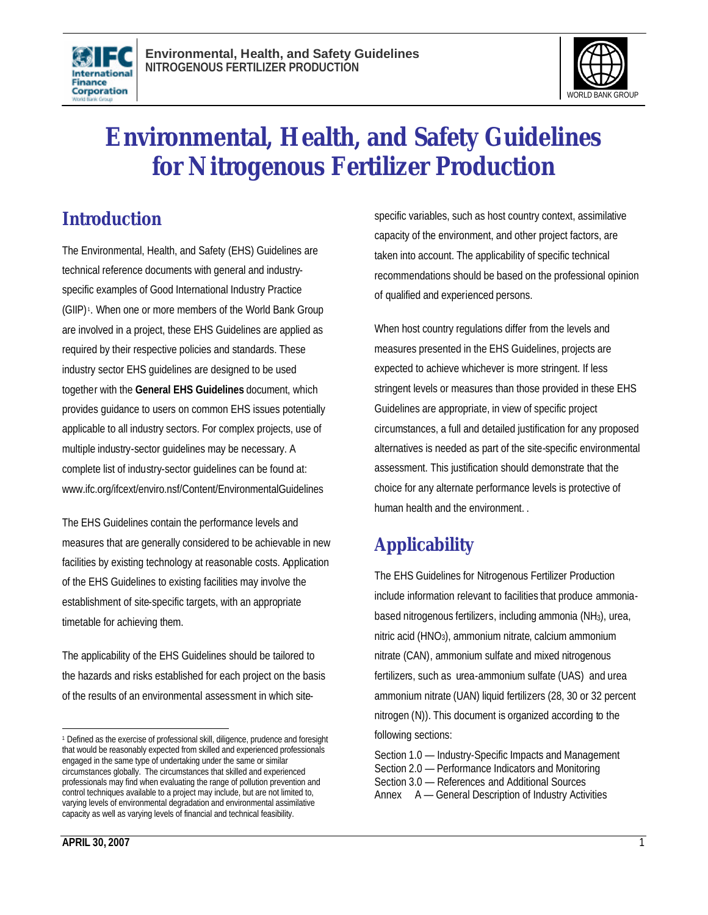



# **Environmental, Health, and Safety Guidelines for Nitrogenous Fertilizer Production**

# **Introduction**

The Environmental, Health, and Safety (EHS) Guidelines are technical reference documents with general and industryspecific examples of Good International Industry Practice (GIIP) <sup>1</sup> . When one or more members of the World Bank Group are involved in a project, these EHS Guidelines are applied as required by their respective policies and standards. These industry sector EHS guidelines are designed to be used together with the **General EHS Guidelines** document, which provides guidance to users on common EHS issues potentially applicable to all industry sectors. For complex projects, use of multiple industry-sector guidelines may be necessary. A complete list of industry-sector guidelines can be found at: www.ifc.org/ifcext/enviro.nsf/Content/EnvironmentalGuidelines

The EHS Guidelines contain the performance levels and measures that are generally considered to be achievable in new facilities by existing technology at reasonable costs. Application of the EHS Guidelines to existing facilities may involve the establishment of site-specific targets, with an appropriate timetable for achieving them.

The applicability of the EHS Guidelines should be tailored to the hazards and risks established for each project on the basis of the results of an environmental assessment in which sitespecific variables, such as host country context, assimilative capacity of the environment, and other project factors, are taken into account. The applicability of specific technical recommendations should be based on the professional opinion of qualified and experienced persons.

When host country regulations differ from the levels and measures presented in the EHS Guidelines, projects are expected to achieve whichever is more stringent. If less stringent levels or measures than those provided in these EHS Guidelines are appropriate, in view of specific project circumstances, a full and detailed justification for any proposed alternatives is needed as part of the site-specific environmental assessment. This justification should demonstrate that the choice for any alternate performance levels is protective of human health and the environment. .

# **Applicability**

The EHS Guidelines for Nitrogenous Fertilizer Production include information relevant to facilities that produce ammoniabased nitrogenous fertilizers, including ammonia (NH3), urea, nitric acid (HNO3), ammonium nitrate, calcium ammonium nitrate (CAN), ammonium sulfate and mixed nitrogenous fertilizers, such as urea-ammonium sulfate (UAS) and urea ammonium nitrate (UAN) liquid fertilizers (28, 30 or 32 percent nitrogen (N)). This document is organized according to the following sections:

 $\overline{a}$ <sup>1</sup> Defined as the exercise of professional skill, diligence, prudence and foresight that would be reasonably expected from skilled and experienced professionals engaged in the same type of undertaking under the same or similar circumstances globally. The circumstances that skilled and experienced professionals may find when evaluating the range of pollution prevention and control techniques available to a project may include, but are not limited to, varying levels of environmental degradation and environmental assimilative capacity as well as varying levels of financial and technical feasibility.

Section 1.0 — Industry-Specific Impacts and Management Section 2.0 — Performance Indicators and Monitoring Section 3.0 — References and Additional Sources Annex A — General Description of Industry Activities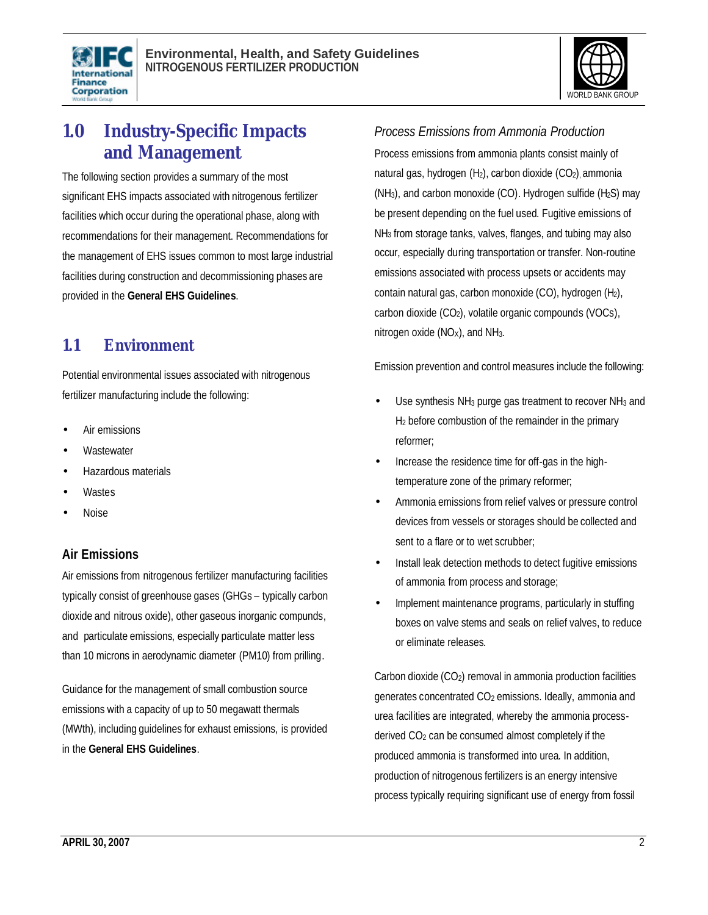



# **1.0 Industry-Specific Impacts and Management**

The following section provides a summary of the most significant EHS impacts associated with nitrogenous fertilizer facilities which occur during the operational phase, along with recommendations for their management. Recommendations for the management of EHS issues common to most large industrial facilities during construction and decommissioning phases are provided in the **General EHS Guidelines**.

# **1.1 Environment**

Potential environmental issues associated with nitrogenous fertilizer manufacturing include the following:

- Air emissions
- **Wastewater**
- Hazardous materials
- **Wastes**
- Noise

#### **Air Emissions**

Air emissions from nitrogenous fertilizer manufacturing facilities typically consist of greenhouse gases (GHGs – typically carbon dioxide and nitrous oxide), other gaseous inorganic compunds, and particulate emissions, especially particulate matter less than 10 microns in aerodynamic diameter (PM10) from prilling.

Guidance for the management of small combustion source emissions with a capacity of up to 50 megawatt thermals (MWth), including guidelines for exhaust emissions, is provided in the **General EHS Guidelines**.

#### *Process Emissions from Ammonia Production*

Process emissions from ammonia plants consist mainly of natural gas, hydrogen  $(H<sub>2</sub>)$ , carbon dioxide  $(CO<sub>2</sub>)$ , ammonia  $(NH<sub>3</sub>)$ , and carbon monoxide  $(CO)$ . Hydrogen sulfide  $(H<sub>2</sub>S)$  may be present depending on the fuel used. Fugitive emissions of NH3 from storage tanks, valves, flanges, and tubing may also occur, especially during transportation or transfer. Non-routine emissions associated with process upsets or accidents may contain natural gas, carbon monoxide (CO), hydrogen (H2), carbon dioxide (CO2), volatile organic compounds (VOCs), nitrogen oxide  $(NO<sub>X</sub>)$ , and  $NH<sub>3</sub>$ .

Emission prevention and control measures include the following:

- Use synthesis NH3 purge gas treatment to recover NH3 and H<sub>2</sub> before combustion of the remainder in the primary reformer;
- Increase the residence time for off-gas in the hightemperature zone of the primary reformer;
- Ammonia emissions from relief valves or pressure control devices from vessels or storages should be collected and sent to a flare or to wet scrubber;
- Install leak detection methods to detect fugitive emissions of ammonia from process and storage;
- Implement maintenance programs, particularly in stuffing boxes on valve stems and seals on relief valves, to reduce or eliminate releases.

Carbon dioxide (CO<sub>2</sub>) removal in ammonia production facilities generates concentrated CO<sub>2</sub> emissions. Ideally, ammonia and urea facilities are integrated, whereby the ammonia processderived CO<sub>2</sub> can be consumed almost completely if the produced ammonia is transformed into urea. In addition, production of nitrogenous fertilizers is an energy intensive process typically requiring significant use of energy from fossil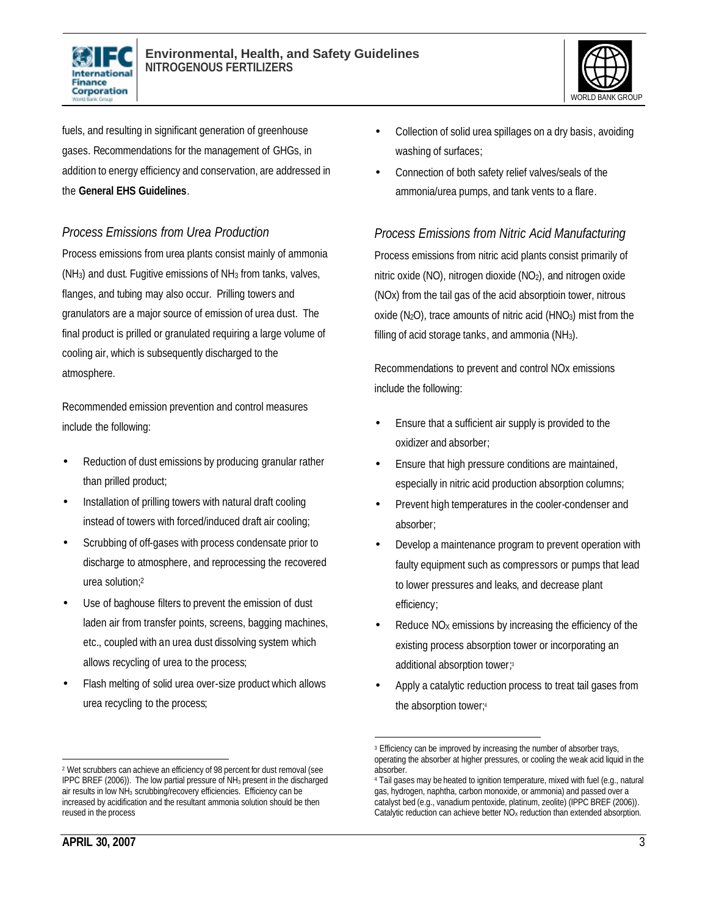



fuels, and resulting in significant generation of greenhouse gases. Recommendations for the management of GHGs, in addition to energy efficiency and conservation, are addressed in the **General EHS Guidelines**.

# *Process Emissions from Urea Production*

Process emissions from urea plants consist mainly of ammonia  $(NH<sub>3</sub>)$  and dust. Fugitive emissions of  $NH<sub>3</sub>$  from tanks, valves, flanges, and tubing may also occur. Prilling towers and granulators are a major source of emission of urea dust. The final product is prilled or granulated requiring a large volume of cooling air, which is subsequently discharged to the atmosphere.

Recommended emission prevention and control measures include the following:

- Reduction of dust emissions by producing granular rather than prilled product;
- Installation of prilling towers with natural draft cooling instead of towers with forced/induced draft air cooling;
- Scrubbing of off-gases with process condensate prior to discharge to atmosphere, and reprocessing the recovered urea solution; 2
- Use of baghouse filters to prevent the emission of dust laden air from transfer points, screens, bagging machines, etc., coupled with an urea dust dissolving system which allows recycling of urea to the process;
- Flash melting of solid urea over-size product which allows urea recycling to the process;
- Collection of solid urea spillages on a dry basis, avoiding washing of surfaces;
- Connection of both safety relief valves/seals of the ammonia/urea pumps, and tank vents to a flare.

### *Process Emissions from Nitric Acid Manufacturing*

Process emissions from nitric acid plants consist primarily of nitric oxide (NO), nitrogen dioxide (NO $_2$ ), and nitrogen oxide (NOx) from the tail gas of the acid absorptioin tower, nitrous oxide  $(N_2O)$ , trace amounts of nitric acid  $(MNO_3)$  mist from the filling of acid storage tanks, and ammonia (NH3).

Recommendations to prevent and control NOx emissions include the following:

- Ensure that a sufficient air supply is provided to the oxidizer and absorber;
- Ensure that high pressure conditions are maintained, especially in nitric acid production absorption columns;
- Prevent high temperatures in the cooler-condenser and absorber;
- Develop a maintenance program to prevent operation with faulty equipment such as compressors or pumps that lead to lower pressures and leaks, and decrease plant efficiency;
- Reduce  $NO<sub>X</sub>$  emissions by increasing the efficiency of the existing process absorption tower or incorporating an additional absorption tower;<sup>3</sup>
- Apply a catalytic reduction process to treat tail gases from the absorption tower; 4

 $\overline{a}$ 

l <sup>2</sup> Wet scrubbers can achieve an efficiency of 98 percent for dust removal (see IPPC BREF (2006)). The low partial pressure of NH3 present in the discharged air results in low NH<sub>3</sub> scrubbing/recovery efficiencies. Efficiency can be increased by acidification and the resultant ammonia solution should be then reused in the process

<sup>&</sup>lt;sup>3</sup> Efficiency can be improved by increasing the number of absorber trays, operating the absorber at higher pressures, or cooling the weak acid liquid in the absorber.

<sup>4</sup> Tail gases may be heated to ignition temperature, mixed with fuel (e.g., natural gas, hydrogen, naphtha, carbon monoxide, or ammonia) and passed over a catalyst bed (e.g., vanadium pentoxide, platinum, zeolite) (IPPC BREF (2006)). Catalytic reduction can achieve better  $NO<sub>x</sub>$  reduction than extended absorption.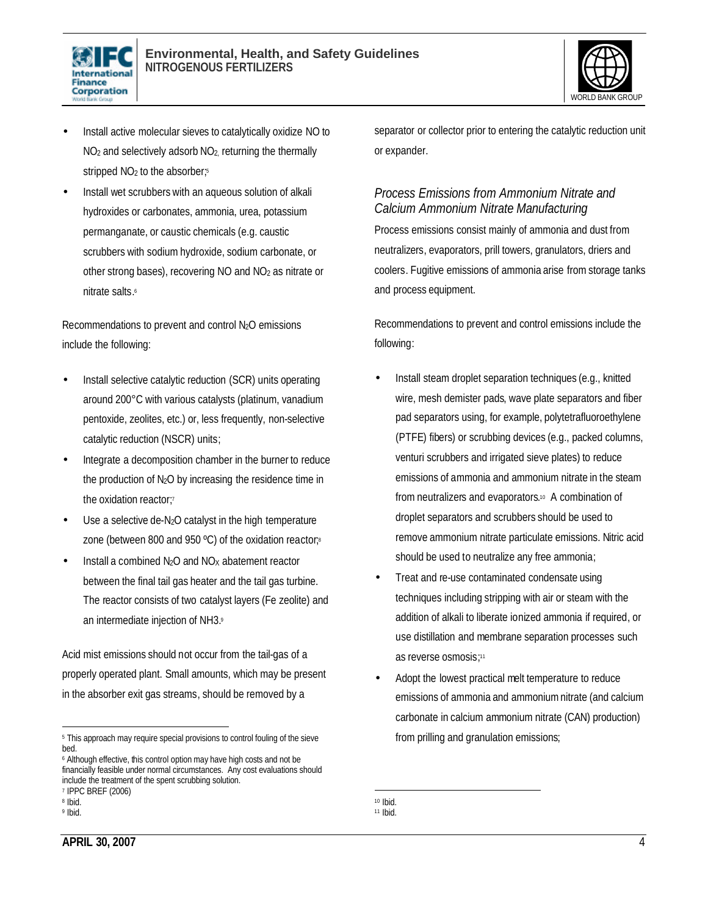



- Install active molecular sieves to catalytically oxidize NO to NO<sub>2</sub> and selectively adsorb NO<sub>2</sub>, returning the thermally stripped NO<sub>2</sub> to the absorber;<sup>5</sup>
- Install wet scrubbers with an aqueous solution of alkali hydroxides or carbonates, ammonia, urea, potassium permanganate, or caustic chemicals (e.g. caustic scrubbers with sodium hydroxide, sodium carbonate, or other strong bases), recovering NO and NO2 as nitrate or nitrate salts. 6

Recommendations to prevent and control N<sub>2</sub>O emissions include the following:

- Install selective catalytic reduction (SCR) units operating around 200°C with various catalysts (platinum, vanadium pentoxide, zeolites, etc.) or, less frequently, non-selective catalytic reduction (NSCR) units;
- Integrate a decomposition chamber in the burner to reduce the production of N2O by increasing the residence time in the oxidation reactor; 7
- Use a selective de-N<sub>2</sub>O catalyst in the high temperature zone (between 800 and 950 °C) of the oxidation reactor;<sup>8</sup>
- Install a combined  $N_2O$  and  $NO_x$  abatement reactor between the final tail gas heater and the tail gas turbine. The reactor consists of two catalyst layers (Fe zeolite) and an intermediate injection of NH3.<sup>9</sup>

Acid mist emissions should not occur from the tail-gas of a properly operated plant. Small amounts, which may be present in the absorber exit gas streams, should be removed by a

 $\overline{a}$ 

9 Ibid.

separator or collector prior to entering the catalytic reduction unit or expander.

### *Process Emissions from Ammonium Nitrate and Calcium Ammonium Nitrate Manufacturing*

Process emissions consist mainly of ammonia and dust from neutralizers, evaporators, prill towers, granulators, driers and coolers. Fugitive emissions of ammonia arise from storage tanks and process equipment.

Recommendations to prevent and control emissions include the following:

- Install steam droplet separation techniques (e.g., knitted wire, mesh demister pads, wave plate separators and fiber pad separators using, for example, polytetrafluoroethylene (PTFE) fibers) or scrubbing devices (e.g., packed columns, venturi scrubbers and irrigated sieve plates) to reduce emissions of ammonia and ammonium nitrate in the steam from neutralizers and evaporators. <sup>10</sup> A combination of droplet separators and scrubbers should be used to remove ammonium nitrate particulate emissions. Nitric acid should be used to neutralize any free ammonia;
- Treat and re-use contaminated condensate using techniques including stripping with air or steam with the addition of alkali to liberate ionized ammonia if required, or use distillation and membrane separation processes such as reverse osmosis;11
- Adopt the lowest practical melt temperature to reduce emissions of ammonia and ammonium nitrate (and calcium carbonate in calcium ammonium nitrate (CAN) production) from prilling and granulation emissions;

l <sup>10</sup> Ibid. 11 Ibid.

<sup>&</sup>lt;sup>5</sup> This approach may require special provisions to control fouling of the sieve bed.

<sup>6</sup> Although effective, this control option may have high costs and not be financially feasible under normal circumstances. Any cost evaluations should include the treatment of the spent scrubbing solution.

<sup>7</sup> IPPC BREF (2006)

<sup>8</sup> Ibid.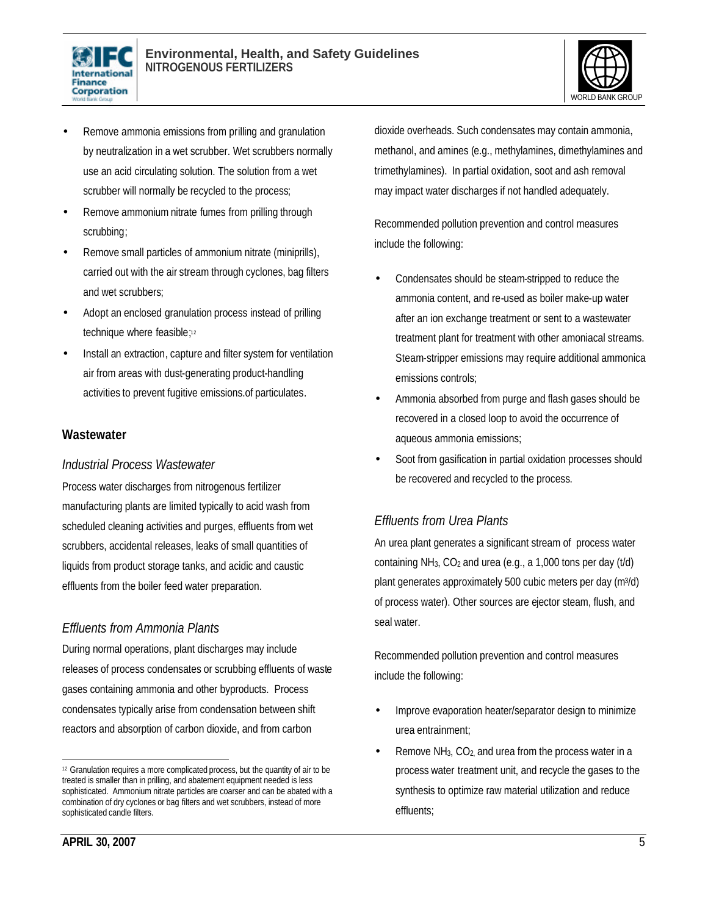



- Remove ammonia emissions from prilling and granulation by neutralization in a wet scrubber. Wet scrubbers normally use an acid circulating solution. The solution from a wet scrubber will normally be recycled to the process;
- Remove ammonium nitrate fumes from prilling through scrubbing;
- Remove small particles of ammonium nitrate (miniprills), carried out with the air stream through cyclones, bag filters and wet scrubbers;
- Adopt an enclosed granulation process instead of prilling technique where feasible;<sup>12</sup>
- Install an extraction, capture and filter system for ventilation air from areas with dust-generating product-handling activities to prevent fugitive emissions.of particulates.

#### **Wastewater**

#### *Industrial Process Wastewater*

Process water discharges from nitrogenous fertilizer manufacturing plants are limited typically to acid wash from scheduled cleaning activities and purges, effluents from wet scrubbers, accidental releases, leaks of small quantities of liquids from product storage tanks, and acidic and caustic effluents from the boiler feed water preparation.

# *Effluents from Ammonia Plants*

During normal operations, plant discharges may include releases of process condensates or scrubbing effluents of waste gases containing ammonia and other byproducts. Process condensates typically arise from condensation between shift reactors and absorption of carbon dioxide, and from carbon

dioxide overheads. Such condensates may contain ammonia, methanol, and amines (e.g., methylamines, dimethylamines and trimethylamines). In partial oxidation, soot and ash removal may impact water discharges if not handled adequately.

Recommended pollution prevention and control measures include the following:

- Condensates should be steam-stripped to reduce the ammonia content, and re-used as boiler make-up water after an ion exchange treatment or sent to a wastewater treatment plant for treatment with other amoniacal streams. Steam-stripper emissions may require additional ammonica emissions controls;
- Ammonia absorbed from purge and flash gases should be recovered in a closed loop to avoid the occurrence of aqueous ammonia emissions;
- Soot from gasification in partial oxidation processes should be recovered and recycled to the process.

# *Effluents from Urea Plants*

An urea plant generates a significant stream of process water containing  $NH_3$ ,  $CO_2$  and urea (e.g., a 1,000 tons per day (t/d) plant generates approximately 500 cubic meters per day (m<sup>3</sup> /d) of process water). Other sources are ejector steam, flush, and seal water.

Recommended pollution prevention and control measures include the following:

- Improve evaporation heater/separator design to minimize urea entrainment;
- Remove  $NH_3$ ,  $CO_2$ , and urea from the process water in a process water treatment unit, and recycle the gases to the synthesis to optimize raw material utilization and reduce effluents;

l 12 Granulation requires a more complicated process, but the quantity of air to be treated is smaller than in prilling, and abatement equipment needed is less sophisticated. Ammonium nitrate particles are coarser and can be abated with a combination of dry cyclones or bag filters and wet scrubbers, instead of more sophisticated candle filters.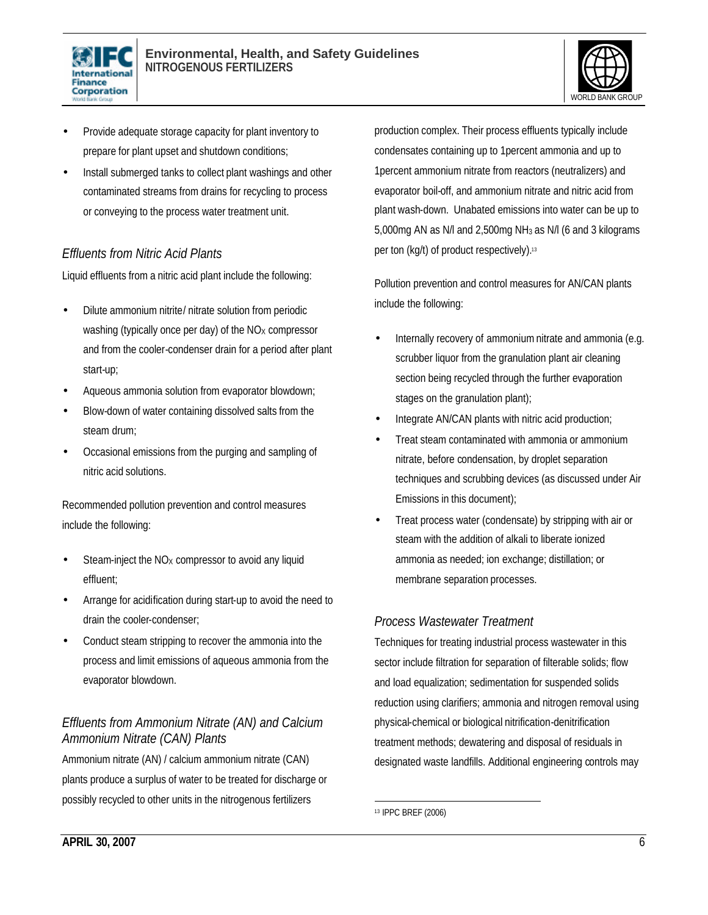



- Provide adequate storage capacity for plant inventory to prepare for plant upset and shutdown conditions;
- Install submerged tanks to collect plant washings and other contaminated streams from drains for recycling to process or conveying to the process water treatment unit.

# *Effluents from Nitric Acid Plants*

Liquid effluents from a nitric acid plant include the following:

- Dilute ammonium nitrite/ nitrate solution from periodic washing (typically once per day) of the  $NO<sub>X</sub>$  compressor and from the cooler-condenser drain for a period after plant start-up;
- Aqueous ammonia solution from evaporator blowdown;
- Blow-down of water containing dissolved salts from the steam drum;
- Occasional emissions from the purging and sampling of nitric acid solutions.

Recommended pollution prevention and control measures include the following:

- Steam-inject the NO<sub>x</sub> compressor to avoid any liquid effluent;
- Arrange for acidification during start-up to avoid the need to drain the cooler-condenser;
- Conduct steam stripping to recover the ammonia into the process and limit emissions of aqueous ammonia from the evaporator blowdown.

#### *Effluents from Ammonium Nitrate (AN) and Calcium Ammonium Nitrate (CAN) Plants*

Ammonium nitrate (AN) / calcium ammonium nitrate (CAN) plants produce a surplus of water to be treated for discharge or possibly recycled to other units in the nitrogenous fertilizers

production complex. Their process effluents typically include condensates containing up to 1percent ammonia and up to 1percent ammonium nitrate from reactors (neutralizers) and evaporator boil-off, and ammonium nitrate and nitric acid from plant wash-down. Unabated emissions into water can be up to 5,000mg AN as N/l and 2,500mg NH3 as N/l (6 and 3 kilograms per ton (kg/t) of product respectively).<sup>13</sup>

Pollution prevention and control measures for AN/CAN plants include the following:

- Internally recovery of ammonium nitrate and ammonia (e.g. scrubber liquor from the granulation plant air cleaning section being recycled through the further evaporation stages on the granulation plant);
- Integrate AN/CAN plants with nitric acid production;
- Treat steam contaminated with ammonia or ammonium nitrate, before condensation, by droplet separation techniques and scrubbing devices (as discussed under Air Emissions in this document);
- Treat process water (condensate) by stripping with air or steam with the addition of alkali to liberate ionized ammonia as needed; ion exchange; distillation; or membrane separation processes.

# *Process Wastewater Treatment*

Techniques for treating industrial process wastewater in this sector include filtration for separation of filterable solids; flow and load equalization; sedimentation for suspended solids reduction using clarifiers; ammonia and nitrogen removal using physical-chemical or biological nitrification-denitrification treatment methods; dewatering and disposal of residuals in designated waste landfills. Additional engineering controls may

<sup>1</sup> 13 IPPC BREF (2006)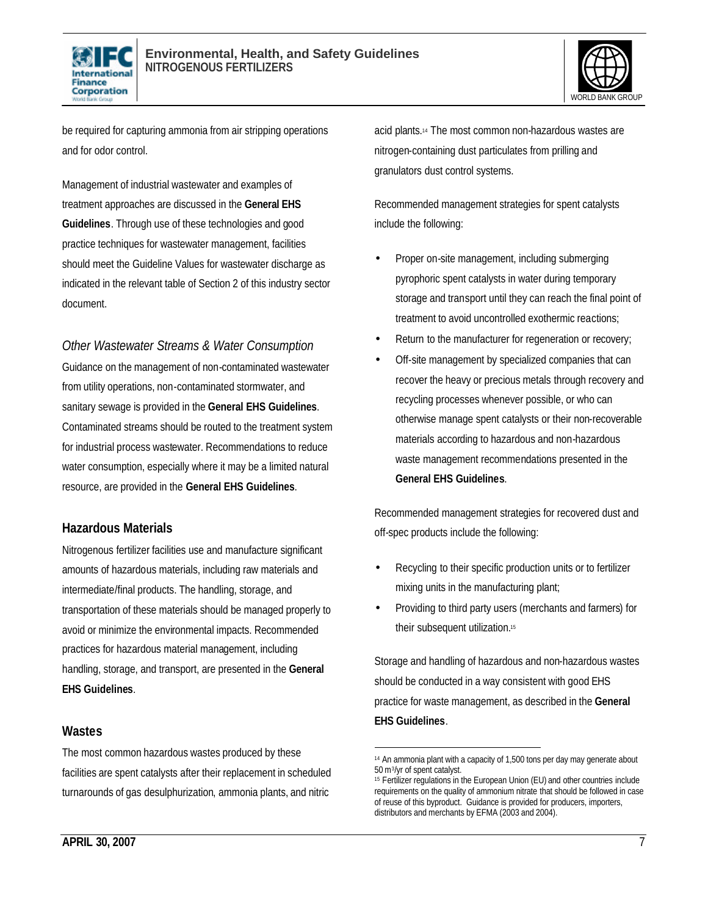



be required for capturing ammonia from air stripping operations and for odor control.

Management of industrial wastewater and examples of treatment approaches are discussed in the **General EHS Guidelines**. Through use of these technologies and good practice techniques for wastewater management, facilities should meet the Guideline Values for wastewater discharge as indicated in the relevant table of Section 2 of this industry sector document.

*Other Wastewater Streams & Water Consumption*

Guidance on the management of non-contaminated wastewater from utility operations, non-contaminated stormwater, and sanitary sewage is provided in the **General EHS Guidelines**. Contaminated streams should be routed to the treatment system for industrial process wastewater. Recommendations to reduce water consumption, especially where it may be a limited natural resource, are provided in the **General EHS Guidelines**.

#### **Hazardous Materials**

Nitrogenous fertilizer facilities use and manufacture significant amounts of hazardous materials, including raw materials and intermediate/final products. The handling, storage, and transportation of these materials should be managed properly to avoid or minimize the environmental impacts. Recommended practices for hazardous material management, including handling, storage, and transport, are presented in the **General EHS Guidelines**.

#### **Wastes**

The most common hazardous wastes produced by these facilities are spent catalysts after their replacement in scheduled turnarounds of gas desulphurization, ammonia plants, and nitric

acid plants.<sup>14</sup> The most common non-hazardous wastes are nitrogen-containing dust particulates from prilling and granulators dust control systems.

Recommended management strategies for spent catalysts include the following:

- Proper on-site management, including submerging pyrophoric spent catalysts in water during temporary storage and transport until they can reach the final point of treatment to avoid uncontrolled exothermic reactions;
- Return to the manufacturer for regeneration or recovery;
- Off-site management by specialized companies that can recover the heavy or precious metals through recovery and recycling processes whenever possible, or who can otherwise manage spent catalysts or their non-recoverable materials according to hazardous and non-hazardous waste management recommendations presented in the **General EHS Guidelines**.

Recommended management strategies for recovered dust and off-spec products include the following:

- Recycling to their specific production units or to fertilizer mixing units in the manufacturing plant;
- Providing to third party users (merchants and farmers) for their subsequent utilization.<sup>15</sup>

Storage and handling of hazardous and non-hazardous wastes should be conducted in a way consistent with good EHS practice for waste management, as described in the **General EHS Guidelines**.

1

<sup>14</sup> An ammonia plant with a capacity of 1,500 tons per day may generate about 50 m<sup>3</sup> /yr of spent catalyst.

<sup>&</sup>lt;sup>15</sup> Fertilizer regulations in the European Union (EU) and other countries include requirements on the quality of ammonium nitrate that should be followed in case of reuse of this byproduct. Guidance is provided for producers, importers, distributors and merchants by EFMA (2003 and 2004).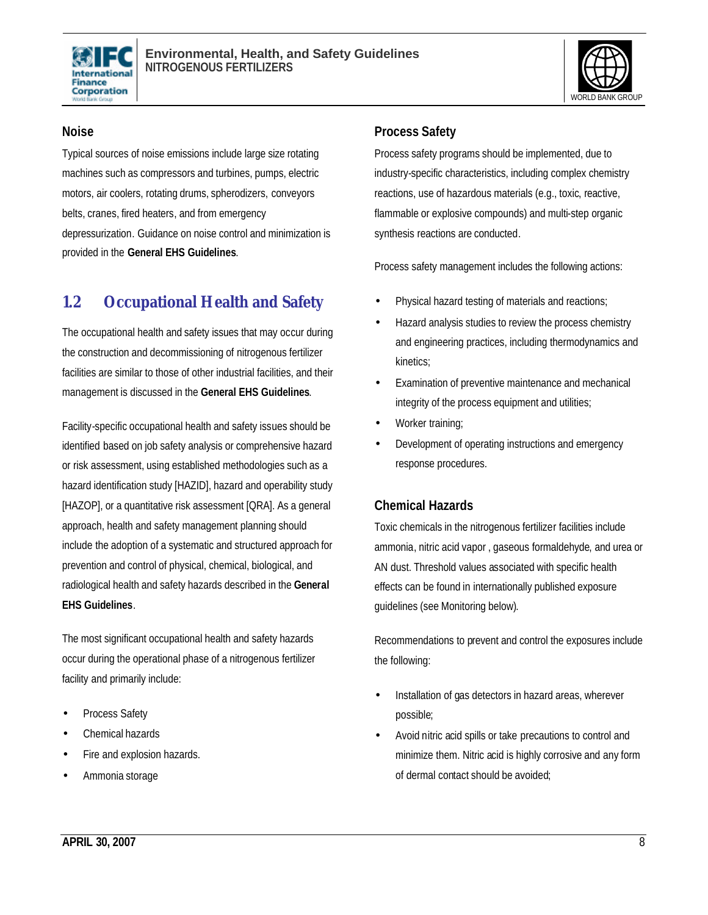



#### **Noise**

Typical sources of noise emissions include large size rotating machines such as compressors and turbines, pumps, electric motors, air coolers, rotating drums, spherodizers, conveyors belts, cranes, fired heaters, and from emergency depressurization. Guidance on noise control and minimization is provided in the **General EHS Guidelines**.

# **1.2 Occupational Health and Safety**

The occupational health and safety issues that may occur during the construction and decommissioning of nitrogenous fertilizer facilities are similar to those of other industrial facilities, and their management is discussed in the **General EHS Guidelines**.

Facility-specific occupational health and safety issues should be identified based on job safety analysis or comprehensive hazard or risk assessment, using established methodologies such as a hazard identification study [HAZID], hazard and operability study [HAZOP], or a quantitative risk assessment [QRA]. As a general approach, health and safety management planning should include the adoption of a systematic and structured approach for prevention and control of physical, chemical, biological, and radiological health and safety hazards described in the **General EHS Guidelines**.

The most significant occupational health and safety hazards occur during the operational phase of a nitrogenous fertilizer facility and primarily include:

- Process Safety
- Chemical hazards
- Fire and explosion hazards.
- Ammonia storage

### **Process Safety**

Process safety programs should be implemented, due to industry-specific characteristics, including complex chemistry reactions, use of hazardous materials (e.g., toxic, reactive, flammable or explosive compounds) and multi-step organic synthesis reactions are conducted.

Process safety management includes the following actions:

- Physical hazard testing of materials and reactions;
- Hazard analysis studies to review the process chemistry and engineering practices, including thermodynamics and kinetics;
- Examination of preventive maintenance and mechanical integrity of the process equipment and utilities;
- Worker training;
- Development of operating instructions and emergency response procedures.

# **Chemical Hazards**

Toxic chemicals in the nitrogenous fertilizer facilities include ammonia, nitric acid vapor , gaseous formaldehyde, and urea or AN dust. Threshold values associated with specific health effects can be found in internationally published exposure guidelines (see Monitoring below).

Recommendations to prevent and control the exposures include the following:

- Installation of gas detectors in hazard areas, wherever possible;
- Avoid nitric acid spills or take precautions to control and minimize them. Nitric acid is highly corrosive and any form of dermal contact should be avoided;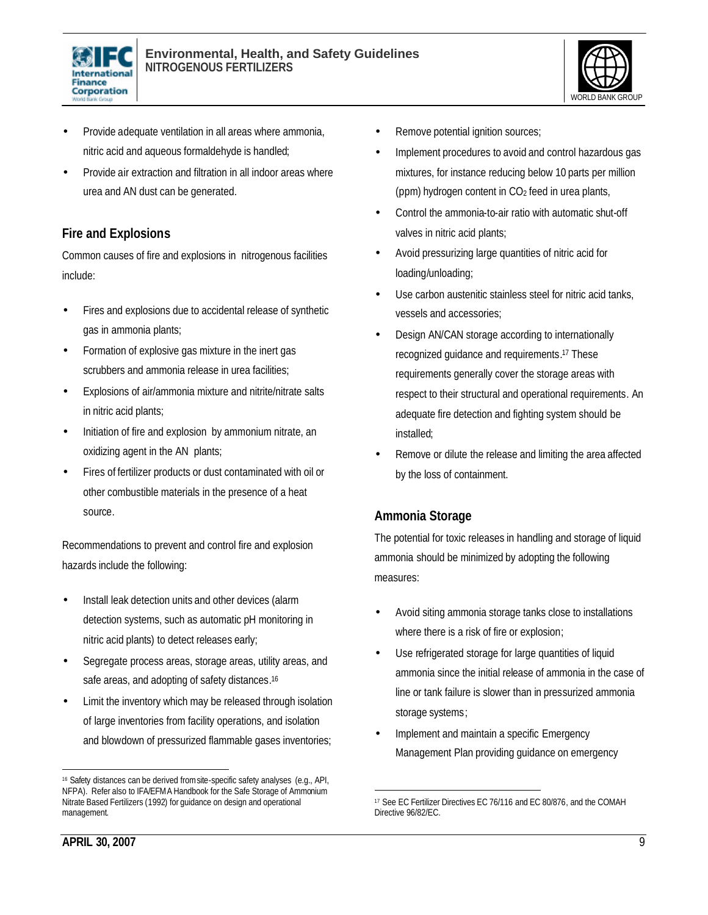



- Provide adequate ventilation in all areas where ammonia, nitric acid and aqueous formaldehyde is handled;
- Provide air extraction and filtration in all indoor areas where urea and AN dust can be generated.

### **Fire and Explosions**

Common causes of fire and explosions in nitrogenous facilities include:

- Fires and explosions due to accidental release of synthetic gas in ammonia plants;
- Formation of explosive gas mixture in the inert gas scrubbers and ammonia release in urea facilities;
- Explosions of air/ammonia mixture and nitrite/nitrate salts in nitric acid plants;
- Initiation of fire and explosion by ammonium nitrate, an oxidizing agent in the AN plants;
- Fires of fertilizer products or dust contaminated with oil or other combustible materials in the presence of a heat source.

Recommendations to prevent and control fire and explosion hazards include the following:

- Install leak detection units and other devices (alarm detection systems, such as automatic pH monitoring in nitric acid plants) to detect releases early;
- Segregate process areas, storage areas, utility areas, and safe areas, and adopting of safety distances.<sup>16</sup>
- Limit the inventory which may be released through isolation of large inventories from facility operations, and isolation and blowdown of pressurized flammable gases inventories;
- Remove potential ignition sources;
- Implement procedures to avoid and control hazardous gas mixtures, for instance reducing below 10 parts per million (ppm) hydrogen content in  $CO<sub>2</sub>$  feed in urea plants,
- Control the ammonia-to-air ratio with automatic shut-off valves in nitric acid plants;
- Avoid pressurizing large quantities of nitric acid for loading/unloading;
- Use carbon austenitic stainless steel for nitric acid tanks. vessels and accessories;
- Design AN/CAN storage according to internationally recognized guidance and requirements. <sup>17</sup> These requirements generally cover the storage areas with respect to their structural and operational requirements. An adequate fire detection and fighting system should be installed;
- Remove or dilute the release and limiting the area affected by the loss of containment.

#### **Ammonia Storage**

The potential for toxic releases in handling and storage of liquid ammonia should be minimized by adopting the following measures:

- Avoid siting ammonia storage tanks close to installations where there is a risk of fire or explosion;
- Use refrigerated storage for large quantities of liquid ammonia since the initial release of ammonia in the case of line or tank failure is slower than in pressurized ammonia storage systems;
- Implement and maintain a specific Emergency Management Plan providing guidance on emergency

 $\overline{a}$ <sup>16</sup> Safety distances can be derived from site-specific safety analyses (e.g., API, NFPA). Refer also to IFA/EFMA Handbook for the Safe Storage of Ammonium Nitrate Based Fertilizers (1992) for guidance on design and operational management.

l <sup>17</sup> See EC Fertilizer Directives EC 76/116 and EC 80/876, and the COMAH Directive 96/82/EC.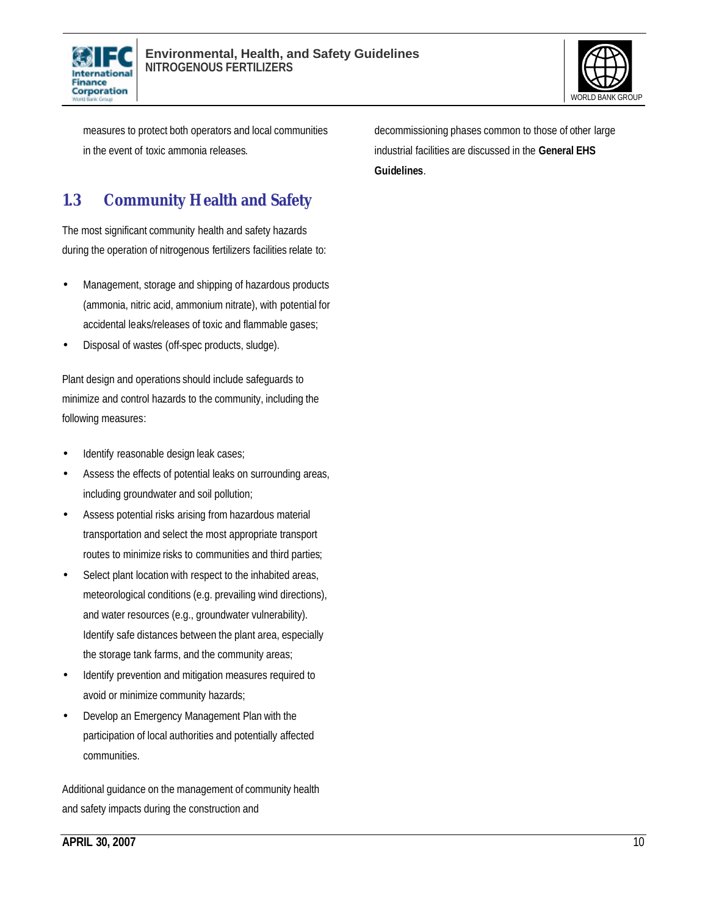



measures to protect both operators and local communities in the event of toxic ammonia releases.

decommissioning phases common to those of other large industrial facilities are discussed in the **General EHS Guidelines**.

# **1.3 Community Health and Safety**

The most significant community health and safety hazards during the operation of nitrogenous fertilizers facilities relate to:

- Management, storage and shipping of hazardous products (ammonia, nitric acid, ammonium nitrate), with potential for accidental leaks/releases of toxic and flammable gases;
- Disposal of wastes (off-spec products, sludge).

Plant design and operations should include safeguards to minimize and control hazards to the community, including the following measures:

- Identify reasonable design leak cases;
- Assess the effects of potential leaks on surrounding areas, including groundwater and soil pollution;
- Assess potential risks arising from hazardous material transportation and select the most appropriate transport routes to minimize risks to communities and third parties;
- Select plant location with respect to the inhabited areas, meteorological conditions (e.g. prevailing wind directions), and water resources (e.g., groundwater vulnerability). Identify safe distances between the plant area, especially the storage tank farms, and the community areas;
- Identify prevention and mitigation measures required to avoid or minimize community hazards;
- Develop an Emergency Management Plan with the participation of local authorities and potentially affected communities.

Additional guidance on the management of community health and safety impacts during the construction and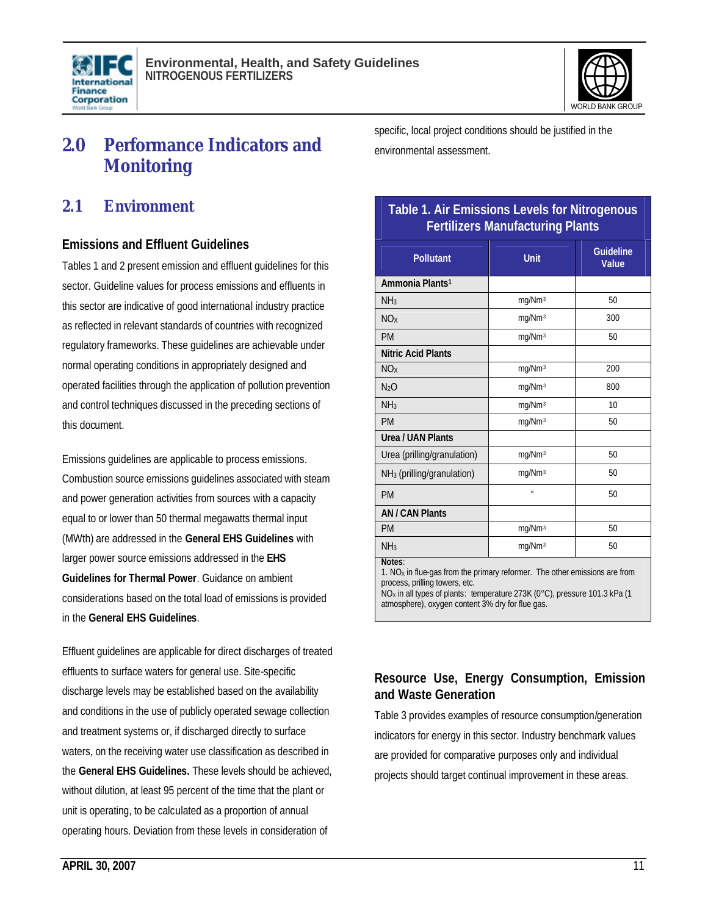



# **2.0 Performance Indicators and Monitoring**

# **2.1 Environment**

### **Emissions and Effluent Guidelines**

Tables 1 and 2 present emission and effluent guidelines for this sector. Guideline values for process emissions and effluents in this sector are indicative of good international industry practice as reflected in relevant standards of countries with recognized regulatory frameworks. These guidelines are achievable under normal operating conditions in appropriately designed and operated facilities through the application of pollution prevention and control techniques discussed in the preceding sections of this document.

Emissions guidelines are applicable to process emissions. Combustion source emissions guidelines associated with steam and power generation activities from sources with a capacity equal to or lower than 50 thermal megawatts thermal input (MWth) are addressed in the **General EHS Guidelines** with larger power source emissions addressed in the **EHS Guidelines for Thermal Power**. Guidance on ambient considerations based on the total load of emissions is provided in the **General EHS Guidelines**.

Effluent guidelines are applicable for direct discharges of treated effluents to surface waters for general use. Site-specific discharge levels may be established based on the availability and conditions in the use of publicly operated sewage collection and treatment systems or, if discharged directly to surface waters, on the receiving water use classification as described in the **General EHS Guidelines.** These levels should be achieved, without dilution, at least 95 percent of the time that the plant or unit is operating, to be calculated as a proportion of annual operating hours. Deviation from these levels in consideration of

specific, local project conditions should be justified in the environmental assessment.

# **Table 1. Air Emissions Levels for Nitrogenous Fertilizers Manufacturing Plants**

| <b>Pollutant</b>                                                                                                                   | <b>Unit</b>        | <b>Guideline</b><br>Value |  |
|------------------------------------------------------------------------------------------------------------------------------------|--------------------|---------------------------|--|
| Ammonia Plants <sup>1</sup>                                                                                                        |                    |                           |  |
| NH <sub>3</sub>                                                                                                                    | mg/Nm <sup>3</sup> | 50                        |  |
| <b>NO<sub>x</sub></b>                                                                                                              | mg/Nm <sup>3</sup> | 300                       |  |
| <b>PM</b>                                                                                                                          | mg/Nm <sup>3</sup> | 50                        |  |
| <b>Nitric Acid Plants</b>                                                                                                          |                    |                           |  |
| <b>NO<sub>x</sub></b>                                                                                                              | mg/Nm <sup>3</sup> | 200                       |  |
| N <sub>2</sub> O                                                                                                                   | mg/Nm <sup>3</sup> | 800                       |  |
| NH <sub>3</sub>                                                                                                                    | mg/Nm <sup>3</sup> | 10                        |  |
| <b>PM</b>                                                                                                                          | mg/Nm <sup>3</sup> | 50                        |  |
| Urea / UAN Plants                                                                                                                  |                    |                           |  |
| Urea (prilling/granulation)                                                                                                        | mg/Nm <sup>3</sup> | 50                        |  |
| NH <sub>3</sub> (prilling/granulation)                                                                                             | mg/Nm <sup>3</sup> | 50                        |  |
| <b>PM</b>                                                                                                                          | $\mathbf{u}$       | 50                        |  |
| <b>AN / CAN Plants</b>                                                                                                             |                    |                           |  |
| <b>PM</b>                                                                                                                          | mg/Nm <sup>3</sup> | 50                        |  |
| NH <sub>3</sub>                                                                                                                    | mg/Nm <sup>3</sup> | 50                        |  |
| Notes:<br>1. NO <sub>x</sub> in flue-gas from the primary reformer. The other emissions are from<br>process, prilling towers, etc. |                    |                           |  |

 $NO<sub>x</sub>$  in all types of plants: temperature 273K (0°C), pressure 101.3 kPa (1 atmosphere), oxygen content 3% dry for flue gas.

# **Resource Use, Energy Consumption, Emission and Waste Generation**

Table 3 provides examples of resource consumption/generation indicators for energy in this sector. Industry benchmark values are provided for comparative purposes only and individual projects should target continual improvement in these areas.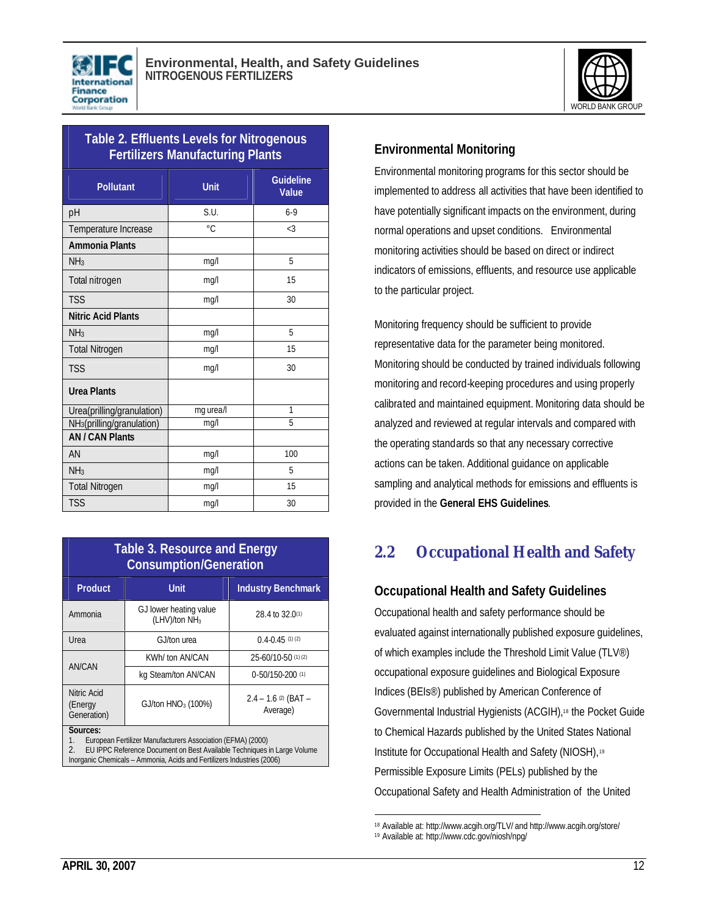



| Table 2. Effluents Levels for Nitrogenous, |
|--------------------------------------------|
| <b>Fertilizers Manufacturing Plants</b>    |

| <b>Pollutant</b>                       | <b>Unit</b>  | <b>Guideline</b><br>Value |
|----------------------------------------|--------------|---------------------------|
| pH                                     | S.U.         | $6-9$                     |
| Temperature Increase                   | $^{\circ}$ C | <3                        |
| <b>Ammonia Plants</b>                  |              |                           |
| NH <sub>3</sub>                        | mg/l         | 5                         |
| Total nitrogen                         | mq/1         | 15                        |
| <b>TSS</b>                             | mg/l         | 30                        |
| <b>Nitric Acid Plants</b>              |              |                           |
| NH <sub>3</sub>                        | mg/l         | 5                         |
| <b>Total Nitrogen</b>                  | mg/l         | 15                        |
| <b>TSS</b>                             | mg/l         | 30                        |
| <b>Urea Plants</b>                     |              |                           |
| Urea(prilling/granulation)             | mq urea/l    | $\mathbf{1}$              |
| NH <sub>3</sub> (prilling/granulation) | mg/l         | 5                         |
| <b>AN / CAN Plants</b>                 |              |                           |
| AN                                     | mg/l         | 100                       |
| NH <sub>3</sub>                        | mg/l         | 5                         |
| <b>Total Nitrogen</b>                  | mq/1         | 15                        |
| <b>TSS</b>                             | mq/1         | 30                        |

### **Table 3. Resource and Energy Consumption/Generation**

| <b>Product</b>                                                          | <b>Unit</b>                                         | <b>Industry Benchmark</b>          |  |
|-------------------------------------------------------------------------|-----------------------------------------------------|------------------------------------|--|
| Ammonia                                                                 | GJ lower heating value<br>(LHV)/ton NH <sub>3</sub> | 28.4 to 32.0 <sup>(1)</sup>        |  |
| Urea                                                                    | G.J/ton urea                                        | $0.4 - 0.45$ (1) (2)               |  |
| <b>AN/CAN</b>                                                           | KWh/ ton AN/CAN                                     | 25-60/10-50 (1) (2)                |  |
|                                                                         | kg Steam/ton AN/CAN                                 | $0 - 50/150 - 200$ (1)             |  |
| Nitric Acid<br>(Energy<br>Generation)                                   | GJ/ton HNO <sub>3</sub> (100%)                      | $2.4 - 1.6$ (2) (BAT -<br>Average) |  |
| Sources:<br>European Fertilizer Manufacturers Association (EFMA) (2000) |                                                     |                                    |  |

2. EU IPPC Reference Document on Best Available Techniques in Large Volume Inorganic Chemicals – Ammonia, Acids and Fertilizers Industries (2006)

#### **Environmental Monitoring**

Environmental monitoring programs for this sector should be implemented to address all activities that have been identified to have potentially significant impacts on the environment, during normal operations and upset conditions. Environmental monitoring activities should be based on direct or indirect indicators of emissions, effluents, and resource use applicable to the particular project.

Monitoring frequency should be sufficient to provide representative data for the parameter being monitored. Monitoring should be conducted by trained individuals following monitoring and record-keeping procedures and using properly calibrated and maintained equipment. Monitoring data should be analyzed and reviewed at regular intervals and compared with the operating standards so that any necessary corrective actions can be taken. Additional guidance on applicable sampling and analytical methods for emissions and effluents is provided in the **General EHS Guidelines**.

# **2.2 Occupational Health and Safety**

#### **Occupational Health and Safety Guidelines**

Occupational health and safety performance should be evaluated against internationally published exposure guidelines, of which examples include the Threshold Limit Value (TLV®) occupational exposure guidelines and Biological Exposure Indices (BEIs®) published by American Conference of Governmental Industrial Hygienists (ACGIH),18 the Pocket Guide to Chemical Hazards published by the United States National Institute for Occupational Health and Safety (NIOSH),<sup>19</sup> Permissible Exposure Limits (PELs) published by the Occupational Safety and Health Administration of the United

l

<sup>18</sup> Available at: http://www.acgih.org/TLV/ and http://www.acgih.org/store/

<sup>19</sup> Available at: http://www.cdc.gov/niosh/npg/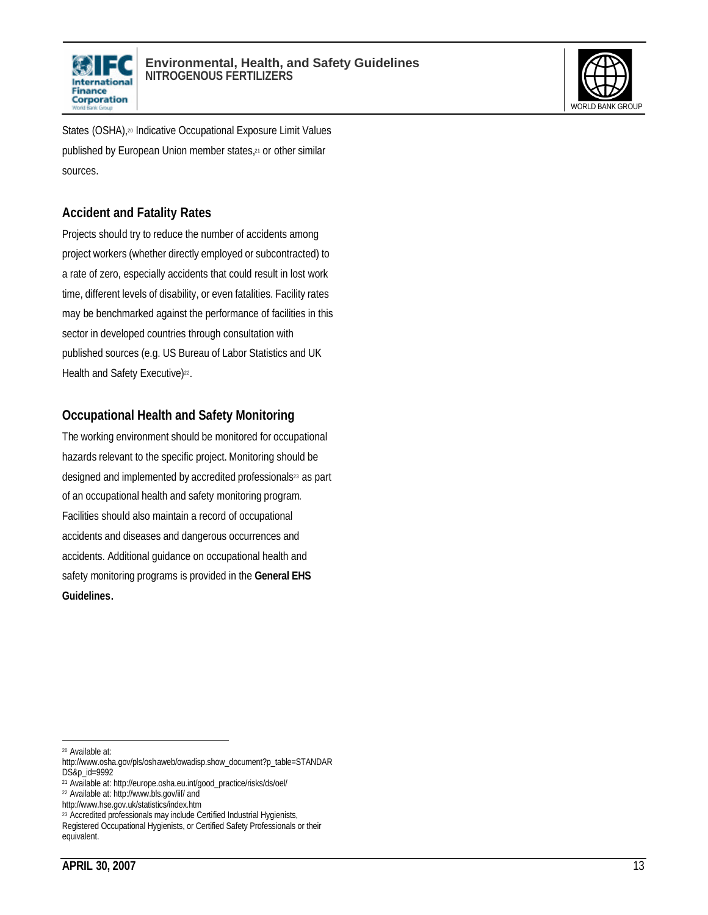



States (OSHA),<sup>20</sup> Indicative Occupational Exposure Limit Values published by European Union member states,<sup>21</sup> or other similar sources.

# **Accident and Fatality Rates**

Projects should try to reduce the number of accidents among project workers (whether directly employed or subcontracted) to a rate of zero, especially accidents that could result in lost work time, different levels of disability, or even fatalities. Facility rates may be benchmarked against the performance of facilities in this sector in developed countries through consultation with published sources (e.g. US Bureau of Labor Statistics and UK Health and Safety Executive)<sup>22</sup>.

# **Occupational Health and Safety Monitoring**

The working environment should be monitored for occupational hazards relevant to the specific project. Monitoring should be designed and implemented by accredited professionals<sup>23</sup> as part of an occupational health and safety monitoring program. Facilities should also maintain a record of occupational accidents and diseases and dangerous occurrences and accidents. Additional guidance on occupational health and safety monitoring programs is provided in the **General EHS Guidelines.**

 $\overline{a}$ 

<sup>20</sup> Available at:

http://www.osha.gov/pls/oshaweb/owadisp.show\_document?p\_table=STANDAR DS&p\_id=9992

<sup>21</sup> Available at: http://europe.osha.eu.int/good\_practice/risks/ds/oel/

<sup>22</sup> Available at: http://www.bls.gov/iif/ and

http://www.hse.gov.uk/statistics/index.htm

<sup>&</sup>lt;sup>23</sup> Accredited professionals may include Certified Industrial Hygienists,

Registered Occupational Hygienists, or Certified Safety Professionals or their equivalent.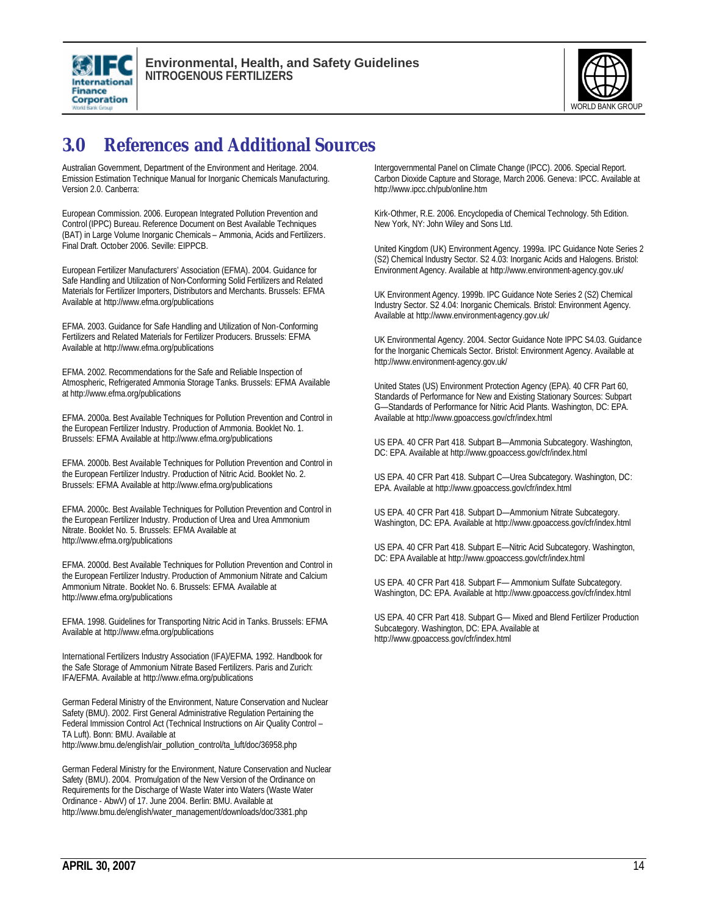



# **3.0 References and Additional Sources**

Australian Government, Department of the Environment and Heritage. 2004. Emission Estimation Technique Manual for Inorganic Chemicals Manufacturing. Version 2.0. Canberra:

European Commission. 2006. European Integrated Pollution Prevention and Control (IPPC) Bureau. Reference Document on Best Available Techniques (BAT) in Large Volume Inorganic Chemicals – Ammonia, Acids and Fertilizers. Final Draft. October 2006. Seville: EIPPCB.

European Fertilizer Manufacturers' Association (EFMA). 2004. Guidance for Safe Handling and Utilization of Non-Conforming Solid Fertilizers and Related Materials for Fertilizer Importers, Distributors and Merchants. Brussels: EFMA. Available at http://www.efma.org/publications

EFMA. 2003. Guidance for Safe Handling and Utilization of Non-Conforming Fertilizers and Related Materials for Fertilizer Producers. Brussels: EFMA. Available at http://www.efma.org/publications

EFMA. 2002. Recommendations for the Safe and Reliable Inspection of Atmospheric, Refrigerated Ammonia Storage Tanks. Brussels: EFMA. Available at http://www.efma.org/publications

EFMA. 2000a. Best Available Techniques for Pollution Prevention and Control in the European Fertilizer Industry. Production of Ammonia. Booklet No. 1. Brussels: EFMA. Available at http://www.efma.org/publications

EFMA. 2000b. Best Available Techniques for Pollution Prevention and Control in the European Fertilizer Industry. Production of Nitric Acid. Booklet No. 2. Brussels: EFMA. Available at http://www.efma.org/publications

EFMA. 2000c. Best Available Techniques for Pollution Prevention and Control in the European Fertilizer Industry. Production of Urea and Urea Ammonium Nitrate. Booklet No. 5. Brussels: EFMA. Available at http://www.efma.org/publications

EFMA. 2000d. Best Available Techniques for Pollution Prevention and Control in the European Fertilizer Industry. Production of Ammonium Nitrate and Calcium Ammonium Nitrate. Booklet No. 6. Brussels: EFMA. Available at http://www.efma.org/publications

EFMA. 1998. Guidelines for Transporting Nitric Acid in Tanks. Brussels: EFMA. Available at http://www.efma.org/publications

International Fertilizers Industry Association (IFA)/EFMA. 1992. Handbook for the Safe Storage of Ammonium Nitrate Based Fertilizers. Paris and Zurich: IFA/EFMA. Available at http://www.efma.org/publications

German Federal Ministry of the Environment, Nature Conservation and Nuclear Safety (BMU). 2002. First General Administrative Regulation Pertaining the Federal Immission Control Act (Technical Instructions on Air Quality Control – TA Luft). Bonn: BMU. Available at http://www.bmu.de/english/air\_pollution\_control/ta\_luft/doc/36958.php

German Federal Ministry for the Environment, Nature Conservation and Nuclear Safety (BMU). 2004. Promulgation of the New Version of the Ordinance on Requirements for the Discharge of Waste Water into Waters (Waste Water Ordinance - AbwV) of 17. June 2004. Berlin: BMU. Available at

http://www.bmu.de/english/water\_management/downloads/doc/3381.php

Intergovernmental Panel on Climate Change (IPCC). 2006. Special Report. Carbon Dioxide Capture and Storage, March 2006. Geneva: IPCC. Available at http://www.ipcc.ch/pub/online.htm

Kirk-Othmer, R.E. 2006. Encyclopedia of Chemical Technology. 5th Edition. New York, NY: John Wiley and Sons Ltd.

United Kingdom (UK) Environment Agency. 1999a. IPC Guidance Note Series 2 (S2) Chemical Industry Sector. S2 4.03: Inorganic Acids and Halogens. Bristol: Environment Agency. Available at http://www.environment-agency.gov.uk/

UK Environment Agency. 1999b. IPC Guidance Note Series 2 (S2) Chemical Industry Sector. S2 4.04: Inorganic Chemicals. Bristol: Environment Agency. Available at http://www.environment-agency.gov.uk/

UK Environmental Agency. 2004. Sector Guidance Note IPPC S4.03. Guidance for the Inorganic Chemicals Sector. Bristol: Environment Agency. Available at http://www.environment-agency.gov.uk/

United States (US) Environment Protection Agency (EPA). 40 CFR Part 60, Standards of Performance for New and Existing Stationary Sources: Subpart G—Standards of Performance for Nitric Acid Plants. Washington, DC: EPA. Available at http://www.gpoaccess.gov/cfr/index.html

US EPA. 40 CFR Part 418. Subpart B—Ammonia Subcategory. Washington, DC: EPA. Available at http://www.gpoaccess.gov/cfr/index.html

US EPA. 40 CFR Part 418. Subpart C—Urea Subcategory. Washington, DC: EPA. Available at http://www.gpoaccess.gov/cfr/index.html

US EPA. 40 CFR Part 418. Subpart D—Ammonium Nitrate Subcategory. Washington, DC: EPA. Available at http://www.gpoaccess.gov/cfr/index.html

US EPA. 40 CFR Part 418. Subpart E—Nitric Acid Subcategory. Washington, DC: EPA Available at http://www.gpoaccess.gov/cfr/index.html

US EPA. 40 CFR Part 418. Subpart F— Ammonium Sulfate Subcategory. Washington, DC: EPA. Available at http://www.gpoaccess.gov/cfr/index.html

US EPA. 40 CFR Part 418. Subpart G— Mixed and Blend Fertilizer Production Subcategory. Washington, DC: EPA. Available at http://www.gpoaccess.gov/cfr/index.html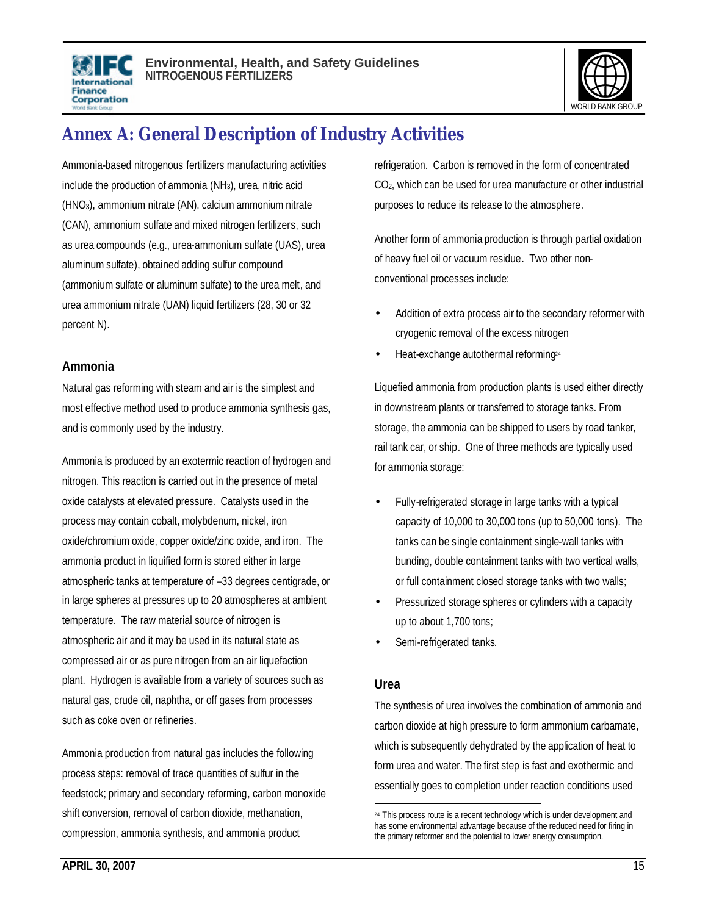



# **Annex A: General Description of Industry Activities**

Ammonia-based nitrogenous fertilizers manufacturing activities include the production of ammonia (NH3), urea, nitric acid (HNO3), ammonium nitrate (AN), calcium ammonium nitrate (CAN), ammonium sulfate and mixed nitrogen fertilizers, such as urea compounds (e.g., urea-ammonium sulfate (UAS), urea aluminum sulfate), obtained adding sulfur compound (ammonium sulfate or aluminum sulfate) to the urea melt, and urea ammonium nitrate (UAN) liquid fertilizers (28, 30 or 32 percent N).

#### **Ammonia**

Natural gas reforming with steam and air is the simplest and most effective method used to produce ammonia synthesis gas, and is commonly used by the industry.

Ammonia is produced by an exotermic reaction of hydrogen and nitrogen. This reaction is carried out in the presence of metal oxide catalysts at elevated pressure. Catalysts used in the process may contain cobalt, molybdenum, nickel, iron oxide/chromium oxide, copper oxide/zinc oxide, and iron. The ammonia product in liquified form is stored either in large atmospheric tanks at temperature of –33 degrees centigrade, or in large spheres at pressures up to 20 atmospheres at ambient temperature. The raw material source of nitrogen is atmospheric air and it may be used in its natural state as compressed air or as pure nitrogen from an air liquefaction plant. Hydrogen is available from a variety of sources such as natural gas, crude oil, naphtha, or off gases from processes such as coke oven or refineries.

Ammonia production from natural gas includes the following process steps: removal of trace quantities of sulfur in the feedstock; primary and secondary reforming, carbon monoxide shift conversion, removal of carbon dioxide, methanation, compression, ammonia synthesis, and ammonia product

refrigeration. Carbon is removed in the form of concentrated CO2, which can be used for urea manufacture or other industrial purposes to reduce its release to the atmosphere.

Another form of ammonia production is through partial oxidation of heavy fuel oil or vacuum residue. Two other nonconventional processes include:

- Addition of extra process air to the secondary reformer with cryogenic removal of the excess nitrogen
- Heat-exchange autothermal reforming<sup>24</sup>

Liquefied ammonia from production plants is used either directly in downstream plants or transferred to storage tanks. From storage, the ammonia can be shipped to users by road tanker, rail tank car, or ship. One of three methods are typically used for ammonia storage:

- Fully-refrigerated storage in large tanks with a typical capacity of 10,000 to 30,000 tons (up to 50,000 tons). The tanks can be single containment single-wall tanks with bunding, double containment tanks with two vertical walls, or full containment closed storage tanks with two walls;
- Pressurized storage spheres or cylinders with a capacity up to about 1,700 tons;
- Semi-refrigerated tanks.

#### **Urea**

 $\overline{a}$ 

The synthesis of urea involves the combination of ammonia and carbon dioxide at high pressure to form ammonium carbamate, which is subsequently dehydrated by the application of heat to form urea and water. The first step is fast and exothermic and essentially goes to completion under reaction conditions used

<sup>&</sup>lt;sup>24</sup> This process route is a recent technology which is under development and has some environmental advantage because of the reduced need for firing in the primary reformer and the potential to lower energy consumption.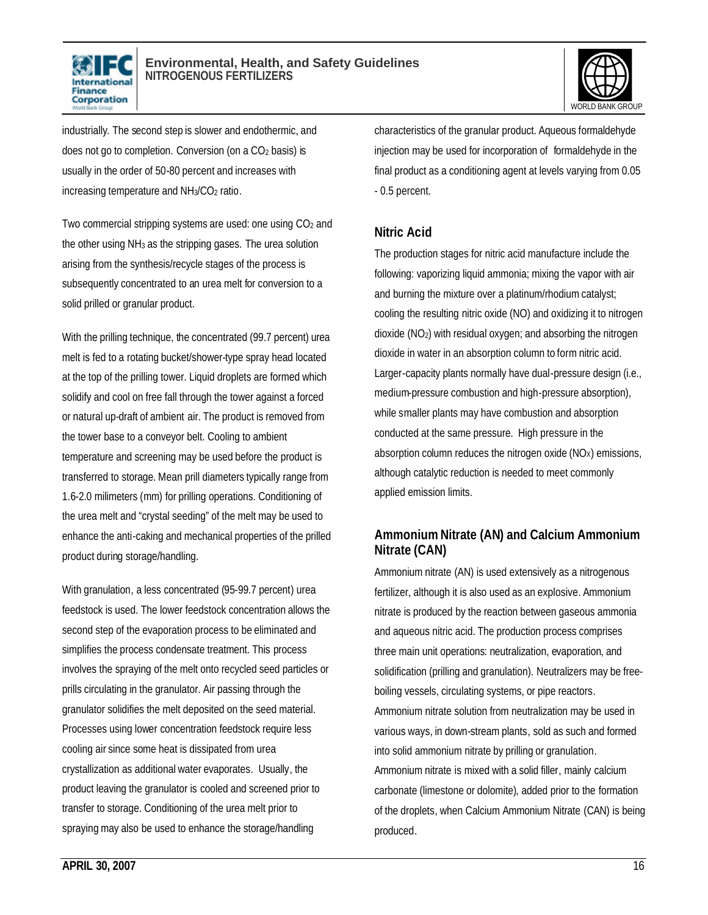



industrially. The second step is slower and endothermic, and does not go to completion. Conversion (on a CO<sub>2</sub> basis) is usually in the order of 50-80 percent and increases with increasing temperature and  $NH<sub>3</sub>/CO<sub>2</sub>$  ratio.

Two commercial stripping systems are used: one using CO<sub>2</sub> and the other using NH3 as the stripping gases. The urea solution arising from the synthesis/recycle stages of the process is subsequently concentrated to an urea melt for conversion to a solid prilled or granular product.

With the prilling technique, the concentrated (99.7 percent) urea melt is fed to a rotating bucket/shower-type spray head located at the top of the prilling tower. Liquid droplets are formed which solidify and cool on free fall through the tower against a forced or natural up-draft of ambient air. The product is removed from the tower base to a conveyor belt. Cooling to ambient temperature and screening may be used before the product is transferred to storage. Mean prill diameters typically range from 1.6-2.0 milimeters (mm) for prilling operations. Conditioning of the urea melt and "crystal seeding" of the melt may be used to enhance the anti-caking and mechanical properties of the prilled product during storage/handling.

With granulation, a less concentrated (95-99.7 percent) urea feedstock is used. The lower feedstock concentration allows the second step of the evaporation process to be eliminated and simplifies the process condensate treatment. This process involves the spraying of the melt onto recycled seed particles or prills circulating in the granulator. Air passing through the granulator solidifies the melt deposited on the seed material. Processes using lower concentration feedstock require less cooling air since some heat is dissipated from urea crystallization as additional water evaporates. Usually, the product leaving the granulator is cooled and screened prior to transfer to storage. Conditioning of the urea melt prior to spraying may also be used to enhance the storage/handling

characteristics of the granular product. Aqueous formaldehyde injection may be used for incorporation of formaldehyde in the final product as a conditioning agent at levels varying from 0.05 - 0.5 percent.

#### **Nitric Acid**

The production stages for nitric acid manufacture include the following: vaporizing liquid ammonia; mixing the vapor with air and burning the mixture over a platinum/rhodium catalyst; cooling the resulting nitric oxide (NO) and oxidizing it to nitrogen dioxide (NO2) with residual oxygen; and absorbing the nitrogen dioxide in water in an absorption column to form nitric acid. Larger-capacity plants normally have dual-pressure design (i.e., medium-pressure combustion and high-pressure absorption), while smaller plants may have combustion and absorption conducted at the same pressure. High pressure in the absorption column reduces the nitrogen oxide  $(NO<sub>X</sub>)$  emissions, although catalytic reduction is needed to meet commonly applied emission limits.

# **Ammonium Nitrate (AN) and Calcium Ammonium Nitrate (CAN)**

Ammonium nitrate (AN) is used extensively as a nitrogenous fertilizer, although it is also used as an explosive. Ammonium nitrate is produced by the reaction between gaseous ammonia and aqueous nitric acid. The production process comprises three main unit operations: neutralization, evaporation, and solidification (prilling and granulation). Neutralizers may be freeboiling vessels, circulating systems, or pipe reactors. Ammonium nitrate solution from neutralization may be used in various ways, in down-stream plants, sold as such and formed into solid ammonium nitrate by prilling or granulation. Ammonium nitrate is mixed with a solid filler, mainly calcium carbonate (limestone or dolomite), added prior to the formation of the droplets, when Calcium Ammonium Nitrate (CAN) is being produced.